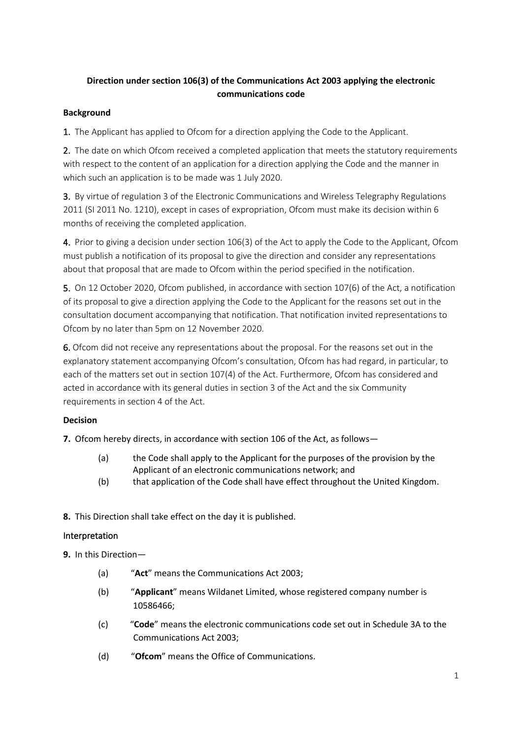# **Direction under section 106(3) of the Communications Act 2003 applying the electronic communications code**

### **Background**

1. The Applicant has applied to Ofcom for a direction applying the Code to the Applicant.

2. The date on which Ofcom received a completed application that meets the statutory requirements with respect to the content of an application for a direction applying the Code and the manner in which such an application is to be made was 1 July 2020.

3. By virtue of regulation 3 of the Electronic Communications and Wireless Telegraphy Regulations 2011 (SI 2011 No. 1210), except in cases of expropriation, Ofcom must make its decision within 6 months of receiving the completed application.

4. Prior to giving a decision under section 106(3) of the Act to apply the Code to the Applicant, Ofcom must publish a notification of its proposal to give the direction and consider any representations about that proposal that are made to Ofcom within the period specified in the notification.

5. On 12 October 2020, Ofcom published, in accordance with section 107(6) of the Act, a notification of its proposal to give a direction applying the Code to the Applicant for the reasons set out in the consultation document accompanying that notification. That notification invited representations to Ofcom by no later than 5pm on 12 November 2020.

6. Ofcom did not receive any representations about the proposal. For the reasons set out in the explanatory statement accompanying Ofcom's consultation, Ofcom has had regard, in particular, to each of the matters set out in section 107(4) of the Act. Furthermore, Ofcom has considered and acted in accordance with its general duties in section 3 of the Act and the six Community requirements in section 4 of the Act.

## **Decision**

**7.** Ofcom hereby directs, in accordance with section 106 of the Act, as follows—

- (a) the Code shall apply to the Applicant for the purposes of the provision by the Applicant of an electronic communications network; and
- (b) that application of the Code shall have effect throughout the United Kingdom.
- **8.** This Direction shall take effect on the day it is published.

### Interpretation

**9.** In this Direction—

- (a) "**Act**" means the Communications Act 2003;
- (b) "**Applicant**" means Wildanet Limited, whose registered company number is 10586466;
- (c) "**Code**" means the electronic communications code set out in Schedule 3A to the Communications Act 2003;
- (d) "**Ofcom**" means the Office of Communications.